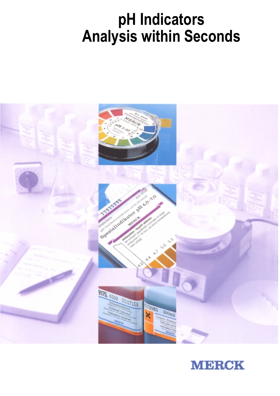# **pH Indicators Analysis within Seconds**



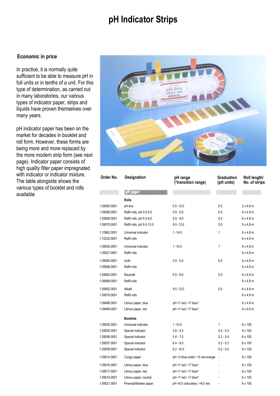# **pH Indicator Strips**

# **Economic in price**

In practice, it is normally quite sufficient to be able to measure pH in full units or in tenths of a unit. For this type of determination, as carried out in many laboratories, our various types of indicator paper, strips and liquids have proven themselves over many years.

pH indicator paper has been on the market for decades in booklet and roll form. However, these forms are being more and more replaced by the more modern strip form (see next page). Indicator paper consists of high quality filter paper impregnated with indicator or indicator mixture. The table alongside shows the various types of booklet and rolls available



| Order No.    | Designation               | pH range<br>(*transition range)   | Graduation<br>(pH units) | Roll length/<br>No. of strips |
|--------------|---------------------------|-----------------------------------|--------------------------|-------------------------------|
|              | pH paper                  |                                   |                          |                               |
|              | <b>Rolls</b>              |                                   |                          |                               |
| 1.09565.0001 | pH box                    | $0.5 - 13.0$                      | 0.5                      | $3 \times 4.8$ m              |
| 1.09568.0001 | Refill rolls, pH 0.5-5.0  | $0.5 - 5.0$                       | 0.5                      | $6 \times 4.8$ m              |
| 1.09569.0001 | Refill rolls, pH 5.5-9.0  | $5.5 - 9.0$                       | 0.5                      | $6 \times 4.8$ m              |
| 1.09570.0001 | Refill rolls, pH 9.5-13.0 | $9.5 - 13.0$                      | 0.5                      | $6 \times 4.8$ m              |
| 1.10962.0001 | Universal indicator       | 1 - 14.0                          | 1                        | $6 \times 4.8$ m              |
| 1.10232.0001 | Refill rolls              |                                   |                          | $6 \times 4.8$ m              |
| 1.09526.0001 | Universal indicator       | $1 - 10.0$                        | 1                        | $6 \times 4.8$ m              |
| 1.09527.0001 | Refill rolls              |                                   |                          | $6 \times 4.8$ m              |
| 1.09560.0001 | Acilit                    | $0.5 - 5.0$                       | 0.5                      | $6 \times 4.8$ m              |
| 1.09568.0001 | Refill rolls              |                                   |                          | $6 \times 4.8$ m              |
| 1.09564.0001 | Neutralit                 | $5.5 - 9.0$                       | 0.5                      | $6 \times 4.8$ m              |
| 1.09569.0001 | Refill rolls              |                                   |                          | $6 \times 4.8$ m              |
| 1.09562.0001 | Alkalit                   | $9.5 - 13.0$                      | 0.5                      | $6 \times 4.8$ m              |
| 1.09570.0001 | Refill rolls              |                                   |                          | $6 \times 4.8$ m              |
| 1.09486.0001 | Litmus paper, blue        | pH <7 red / >7 blue*              |                          | $6 \times 4.8$ m              |
| 1.09489.0001 | Litmus paper, red         | pH <7 red / >7 blue*              |                          | $6 \times 4.8$ m              |
|              | <b>Booklets</b>           |                                   |                          |                               |
| 1.09525.0001 | Universal indicator       | $1 - 10.0$                        | 1                        | 6 x 100                       |
| 1.09555.0001 | Special indicator         | $3.8 - 5.4$                       | $0.2 - 0.3$              | 6 x 100                       |
| 1.09556.0001 | Special indicator         | $5.4 - 7.0$                       | $0.2 - 0.4$              | 6 x 100                       |
| 1.09557.0001 | Special indicator         | $6.4 - 8.0$                       | $0.2 - 0.3$              | 6 x 100                       |
| 1.09558.0001 | Special indicator         | $8.2 - 10.0$                      | $0.2 - 0.4$              | 6 x 100                       |
| 1.09514.0001 | Congo paper               | pH <3 blue-violet / >5 red-orange | $\overline{\phantom{a}}$ | 6 x 100                       |
| 1.09516.0001 | Litmus paper, blue        | pH <7 red / >7 blue*              |                          | 6 x 100                       |
| 1.09517.0001 | Litmus paper, red         | pH <7 red / >7 blue*              |                          | 6 x 100                       |
| 1.09518.0001 | Litmus paper, neutral     | pH <7 red / >7 blue*              |                          | 6 x 100                       |
| 1.09521.0001 | Pnenolphthalein paper     | pH <8.5 colourless / >8.5 red     |                          | 6 x 100                       |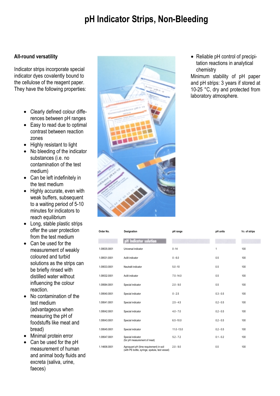# **pH Indicator Strips, Non-Bleeding**

# **All-round versatility**

Indicator strips incorporate special indicator dyes covalently bound to the cellulose of the reagent paper. They have the following properties:

- Clearly defined colour differences between pH ranges
- Easy to read due to optimal contrast between reaction zones
- Highly resistant to light
- No bleeding of the indicator substances (i.e. no contamination of the test medium)
- Can be left indefinitely in the test medium
- Highly accurate, even with weak buffers, subsequent to a waiting period of 5-10 minutes for indicators to reach equilibrium
- Long, stable plastic strips offer the user protection from the test medium
- Can be used for the measurement of weakly coloured and turbid solutions as the strips can be briefly rinsed with distilled water without influencing the colour reaction.
- No contamination of the test medium (advantageous when measuring the pH of foodstuffs like meat and bread)
- Minimal protein error
- Can be used for the pH measurement of human and animal body fluids and excreta (saliva, urine, faeces)



| Order No.    | Designation                                                                                | pH range      | pH units    | No. of strips |
|--------------|--------------------------------------------------------------------------------------------|---------------|-------------|---------------|
|              | H Indicator solution                                                                       |               |             |               |
| 1.09535.0001 | Universal indicator                                                                        | $0 - 14$      | 1           | 100           |
| 1.09531.0001 | Acilit indicator                                                                           | $0 - 6.0$     | 0.5         | 100           |
| 1.09533.0001 | Neutralit indicator                                                                        | $5.0 - 10$    | 0.5         | 100           |
| 1.09532.0001 | Acilit indicator                                                                           | $7.5 - 14.0$  | 0.5         | 100           |
| 1.09584.0001 | Special indicator                                                                          | $2.0 - 9.0$   | 0.5         | 100           |
| 1.09540.0001 | Special indicator                                                                          | $0 - 2.5$     | $0.3 - 0.5$ | 100           |
| 1.09541.0001 | Special indicator                                                                          | $2.5 - 4.5$   | $0.2 - 0.5$ | 100           |
| 1.09542.0001 | Special indicator                                                                          | $4.0 - 7.0$   | $0.2 - 0.5$ | 100           |
| 1.09543.0001 | Special indicator                                                                          | $6.5 - 10.0$  | $0.2 - 0.5$ | 100           |
| 1.09545.0001 | Special indicator                                                                          | $11.0 - 13.0$ | $0.2 - 0.5$ | 100           |
| 1.09547.0001 | Special indicator<br>(for pH measurement of meat)                                          | $5.2 - 7.2$   | $0.1 - 0.2$ | 100           |
| 1.14606.0001 | Agroquant pH (lime requirement) in soil<br>(with PE bottle, syringe, spatula, test vessel) | $2.0 - 9.0$   | 0.5         | 100           |

• Reliable pH control of precipitation reactions in analytical chemistry

Minimum stability of pH paper and pH strips: 3 years if stored at 10-25 °C, dry and protected from laboratory atmosphere.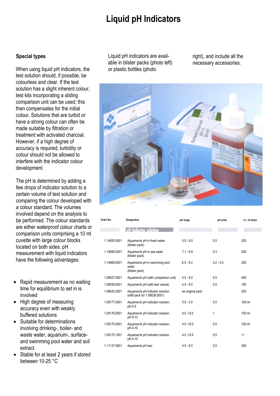# **Liquid pH Indicators**

# **Special types**

When using liquid pH indicators, the test solution should, if possible, be colourless and clear. If the test solution has a slight inherent colour, test kits incorporating a sliding comparison unit can be used; this then compensates for the initial colour. Solutions that are turbid or have a strong colour can often be made suitable by filtration or treatment with activated charcoal. However, if a high degree of accuracy is required, turbidity or colour should not be allowed to interfere with the indicator colour development.

The pH is determined by adding a few drops of indicator solution to a certain volume of test solution and comparing the colour developed with a colour standard. The volumes involved depend on the analysis to be performed. The colour standards are either waterproof colour charts or comparison units comprising a 10 ml cuvette with large colour blocks located on both sides. pH measurement with liquid indicators have the following advantages:

- Rapid measurement as no waiting time for equilibrium to set in is involved
- High degree of measuring accuracy even with weakly buffered solutions
- Suitable for determinations involving drinking-, boiler- and waste water, aquarium-, surfaceand swimming pool water and soil extract.
- Stable for at least 2 years if stored between 10-25 °C

Liquid pH indicators are available in blister packs (photo left) or plastic bottles (photo

right), and include all the necessary accessories.



| Order No.    | Designation                                                       | pH range         | pH units    | No. of strips |
|--------------|-------------------------------------------------------------------|------------------|-------------|---------------|
|              | katar salution                                                    |                  |             |               |
| 1.14655.0001 | Aquamerck pH in fresh water<br>(blister pack)                     | $5.0 - 9.0$      | 0.5         | 200           |
| 1.14656.0001 | Aquamerck pH in sea water<br>(blister pack)                       | $7.1 - 8.9$      | 0.3         | 200           |
| 1.14669.0001 | Aquamerck pH in swimming pool<br>water<br>(blister pack)          | $6.5 - 8.2$      | $0.2 - 0.3$ | 200           |
| 1.08027.0001 | Aquamerck pH (with comparison unit)                               | $4.5 - 9.0$      | 0.5         | 400           |
| 1.08038.0001 | Aquamerck pH (with test vessel)                                   | $4.5 - 9.0$      | 0.5         | 100           |
| 1.08043.0001 | Aquamerck pH indicator solution<br>(refill pack for 1.08038.0001) | as original pack |             | 200           |
| 1.09177.0001 | Aquamerck pH indicator solution,<br>pH 0-5                        | $0.0 - 5.0$      | 0.5         | $100$ ml      |
| 1.09176.0001 | Aquamerck pH indicator solution,<br>pH 9-13                       | $9.0 - 13.0$     | 1           | 100 ml        |
| 1.09175.0001 | Aquamerck pH indicator solution,<br>pH 4-10                       | $4.0 - 10.0$     | 0.5         | 100 ml        |
| 1.09175.1001 | Aquamerck pH indicator solution,<br>pH 4-10                       | $4.0 - 10.0$     | 0.5         | 11            |
| 1.11137.0001 | Aquamerck pH test                                                 | $4.5 - 9.0$      | 0.5         | 200           |
|              |                                                                   |                  |             |               |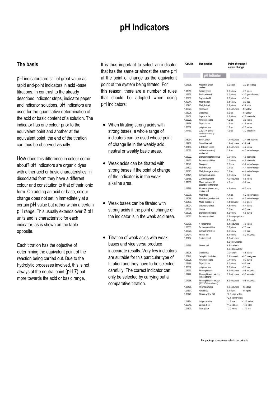# **pH Indicators**

# **The basis**

pH indicators are still of great value as rapid end-point indicators in acid -base titrations. In contrast to the already described indicator strips, indicator paper and indicator solutions, pH indicators are used for the quantitative determination of the acid or basic content of a solution. The indicator has one colour prior to the equivalent point and another at the equivalent point; the end of the titration can thus be observed visually.

How does this difference in colour come about? pH indicators are organic dyes with either acid or basic characteristics; in dissociated form they have a different colour and constitution to that of their ionic form. On adding an acid or base, colour change does not set in immediately at a certain pH value but rather within a certain pH range. This usually extends over 2 pH units and is characteristic for each indicator, as is shown on the table opposite.

Each titration has the objective of determining the equivalent point of the reaction being carried out. Due to the hydrolytic processes involved, this is not always at the neutral point (pH 7) but more towards the acid or basic range.

It is thus important to select an indicator that has the same or almost the same pH at the point of change as the equivalent point of the system being titrated. For this reason, there are a number of rules that should be adopted when using pH indicators:

- When titrating strong acids with strong bases, a whole range of indicators can be used whose point of change lie in the weakly acid, neutral or weakly basic areas.
- Weak acids can be titrated with strong bases if the point of change of the indicator is in the weak alkaline area.
- Weak bases can be titrated with strong acids if the point of change of the indicator is in the weak acid area.
- Titration of weak acids with weak bases and vice versa produce inaccurate results. Very few indicators are suitable for this particular type of titration and they have to be selected carefully. The correct indicator can only be selected by carrying out a comparative titration.

| Cat. No.<br>Designation |                                                       |                                          | Point of change /<br>colour change   |  |  |
|-------------------------|-------------------------------------------------------|------------------------------------------|--------------------------------------|--|--|
|                         | pH Indicator                                          |                                          |                                      |  |  |
|                         |                                                       |                                          |                                      |  |  |
| 1.01398.                | Malachite green<br>oxalate                            | 0.0 green                                | - 2.0 green-blue                     |  |  |
| 1.01310.                | <b>Brilliant</b> green                                | 0.0 yellow                               | $-2.6$ green                         |  |  |
| 1.15935.                | Eosin yellowish                                       | 0.0 yellow                               | - 3.0 green fluoresc.                |  |  |
| 1.15936.                | Erythrosine B                                         | 0.0 yellow                               | $-3.6$ red                           |  |  |
| 1.15944.                | Methyl green                                          | 0.1 yellow                               | $-2.3$ blue                          |  |  |
| 1.15945.                | Methyl violet                                         | 0.1 yellow                               | - 2.7 violet                         |  |  |
| 1.00623.                | Picric acid                                           | 0.2 colourless                           | -1.0 yellow                          |  |  |
| 1.05225.                | Cresol red                                            | $0.2$ red                                | -1.8 yellow                          |  |  |
| 1.01408.                | Crystal violet                                        | 0.8 yellow                               | - 2.6 blue/violet                    |  |  |
| 1.05228.                | m-Cresol purple                                       | $1.2$ red                                | - 2.8 yellow                         |  |  |
| 1.08176.                | Thymol blue                                           | $1.2$ red                                | - 2.8 yellow                         |  |  |
| 1.08682.                | p-Xylenol blue                                        | $1.2$ red                                | - 2.8 yellow                         |  |  |
| 1.11473.                | 2,2'2",4 4'-penta-<br>methoxytri-phenyl<br>carbinol   | $1.2$ red                                | - 3.2 colourless                     |  |  |
| 1.15934.                | Eosin, bluish                                         | 1.4 colourless                           | - 2.4 pink fluoresc.                 |  |  |
| 1.02282.                | Quinaldine red                                        | 1.4 colourless                           | - 3.2 pink                           |  |  |
| 1.03464.                | 2,4-Dinitro phenol                                    | 2.8 colourless                           | - 4.7 yellow                         |  |  |
| 1.03055.                | 4-(Dimethylamino)<br>azobenzol                        | $2.9$ red                                | - 4.0 yellow/orange                  |  |  |
| 1.03022.                | Bromochlorophenol blue                                | 3.0 yellow                               | - 4.6 blue/violet                    |  |  |
| 1.08122.                | Bromophenol blue                                      | 3.0 yellow                               | - 4.6 blue/violet                    |  |  |
| 1.01340.                | Congo red                                             | 3.0 blue                                 | - 5.2 yellow/orange                  |  |  |
| 1.01322.                | Methyl orange                                         | 3.1 red                                  | - 4.4 yellow/orange                  |  |  |
| 1.01323.                | Methyl orange solution                                | 3.1 red                                  | - 4.4 yellow/orange                  |  |  |
| 1.08121.                | Bromocresol areen                                     | 3.8 yellow                               | - 5.4 blue                           |  |  |
| 1.03465.                | 2,5-Dinitrophenol                                     | 4.0 colourless                           | - 5.8 vellow                         |  |  |
| 1.01359.                | Mixed indicator 4.5<br>according to Mortimer          | 4.3 red                                  | $-5.2$ blue                          |  |  |
| 1.06279.<br>1.06076.    | Alizarin sulphonic acid,<br>sodium salt<br>Methyl red | 4.3 yellow<br>4.4 red                    | $-6.3$ violet<br>- 6.2 yellow/orange |  |  |
| 1.06078.                | Methyl red, sodium salt                               | 4.4 red                                  | - 6.2 yellow/orange                  |  |  |
| 1.06130.                | Mixed indicator 5                                     | 4.4 red/violet                           | $-5.8$ green                         |  |  |
| 1.03024.                | Chlorophenol red                                      | 4.8 yellow                               | $-6.4$ purple                        |  |  |
| 1.05312.                | Litmus                                                | 5.0 red                                  | $-8.0$ blue                          |  |  |
| 1.03025.                | Bromocresol purple                                    | 5.2 yellow                               | - 6.8 purple                         |  |  |
| 1.03023.                | Bromophenol red                                       | 5.2 orange/yellow -                      |                                      |  |  |
|                         |                                                       | 6.8 purple                               |                                      |  |  |
| 1.06798.                | 4-Nitrophenol                                         | 5.4 colourless                           | - 7.5 yellow                         |  |  |
| 1.03033.                | Bromoxylenol blue                                     | 5.7 yellow                               | - 7.5 blue                           |  |  |
| 1.03026.                | Bromothymol blue                                      | 6.0 yellow                               | - 7.6 blue                           |  |  |
| 1.07241.                | Phenol red                                            | 6.4 yellow                               | - 8.2 red/violet                     |  |  |
| 1.06794.                | 3-Nitrophenol                                         | 6.6 colourless                           |                                      |  |  |
|                         |                                                       | 8.6 yellow/orange                        |                                      |  |  |
| 1.01369.                | Neutral red                                           | 6.8 blue/red -                           |                                      |  |  |
|                         |                                                       | 8.0 orange/yellow                        |                                      |  |  |
| 1.05225.                | Creosol red                                           | 7.0 orange                               | $-8.8$ purple                        |  |  |
| 1.06246.                | 1-Naphtholphthalein                                   | 7.1 brownish                             | - 8.3 blue/green                     |  |  |
| 1.05228.                | m-Cresol purple                                       | 7.4 yellow                               | $-9.0$ purple                        |  |  |
| 1.08176.                | Thymol blue                                           | 8.0 yellow                               | - 9.6 blue                           |  |  |
| 1.08682.                | p-Xylenol blue                                        | 8.0 yellow                               | - 9.6 blue                           |  |  |
| 1.07233.                | Phenolphthalein                                       | 8.2 colourless                           | - 9.8 red/violet                     |  |  |
| 1.07727.                | Phenolphthalein solution<br>(1% in ethanol)           | 8.2 colourless                           | - 9.8 red/violet                     |  |  |
| 1.07238.                | Phenolphthalein solution<br>(0.375 % in methanol)     | 8.2 colourless                           | - 9.8 red/violet                     |  |  |
| 1.08175.                | Thymolphthalein                                       | 9.3 colourless                           | $-10.5$ blue                         |  |  |
| 1.01331.                | Alkali blue                                           | 9.4 violet                               | $-14.0$ pink                         |  |  |
| 1.06776.                | Alizarin yellow GG                                    | 10.0 bright yellow-<br>12.1 brown/yellow |                                      |  |  |
| 1.04724.                | Indigo carmine                                        | 11.5 blue                                | - 13.0 yellow                        |  |  |
| 1.06810.                | Epsilon blue                                          | 11.6 orange                              | - 13.0 violet                        |  |  |
| 1.01307.                | Titan yellow                                          | 12.0 yellow                              | - 13.0 red                           |  |  |

For package sizes please refer to our price list.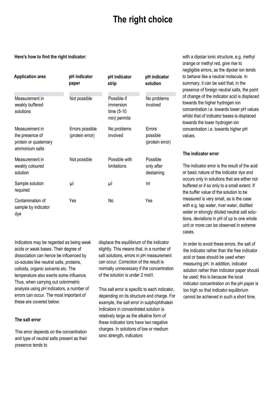# **The right choice**

### **Here's how to find the right indicator:**

| <b>Application area</b>                                                      | pH indicator<br>paper              | pH indicator<br>strip                                  | pH indicator<br>solution              |
|------------------------------------------------------------------------------|------------------------------------|--------------------------------------------------------|---------------------------------------|
| Measurement in<br>weakly buffered<br>solutions                               | Not possible                       | Possible if<br>immersion<br>time (5-10<br>min) permits | No problems<br>involved               |
| Measurement in<br>the presence of<br>protein or quaternary<br>ammonium salts | Errors possible<br>(protein error) | No problems<br>involved                                | Errors<br>possible<br>(protein error) |
| Measurement in<br>weakly coloured<br>solution                                | Not possible                       | Possible with<br>limitations                           | Possible<br>only after<br>destaining  |
| Sample solution<br>required                                                  | μl                                 | μl                                                     | ml                                    |
| Contamination of<br>sample by indicator<br>dye                               | Yes                                | No                                                     | Yes                                   |

Indicators may be regarded as being weak acids or weak bases. Their degree of dissociation can hence be influenced by co-solutes like neutral salts, proteins, colloids, organic solvents etc. The temperature also exerts some influence. Thus, when carrying out colorimetric analysis using pH indicators, a number of errors can occur. The most important of these are covered below:

## **The salt error**

This error depends on the concentration and type of neutral salts present as their presence tends to

displace the equilibrium of the indicator slightly. This means that, in a number of salt solutions, errors in pH measurement can occur. Correction of the result is normally unnecessary if the concentration of the solution is under 2 mol/I.

This salt error is specific to each indicator, depending on its structure and charge. For example, the salt error in sulphophthalein indicators in concentrated solution is relatively large as the alkaline form of these indicator ions have two negative charges. In solutions of low or medium ionic strength, indicators

with a dipolar ionic structure, e.g. methyl orange or methyl red, give rise to negligible errors, as the dipolar ion tends to behave like a neutral molecule. In summary, it can be said that, in the presence of foreign neutral salts, the point of change of the indicator acid is displaced towards the higher hydrogen ion concentration i.e. towards lower pH values whilst that of indicator bases is displaced towards the lower hydrogen ion concentration i.e. towards higher pH values.

# **The indicator error**

The indicator error is the result of the acid or basic nature of the indicator dye and occurs only in solutions that are either not buffered or if so only to a small extent. If the buffer value of the solution to be measured is very small, as is the case with e.g. tap water, river water, distilled water or strongly diluted neutral salt solutions, deviations in pH of up to one whole unit or more can be observed in extreme cases.

In order to avoid these errors, the salt of the indicator rather than the free indicator acid or base should be used when measuring pH. In addition, indicator solution rather than indicator paper should be used; this is because the local indicator concentration on the pH paper is too high so that indicator equilibrium cannot be achieved in such a short time.